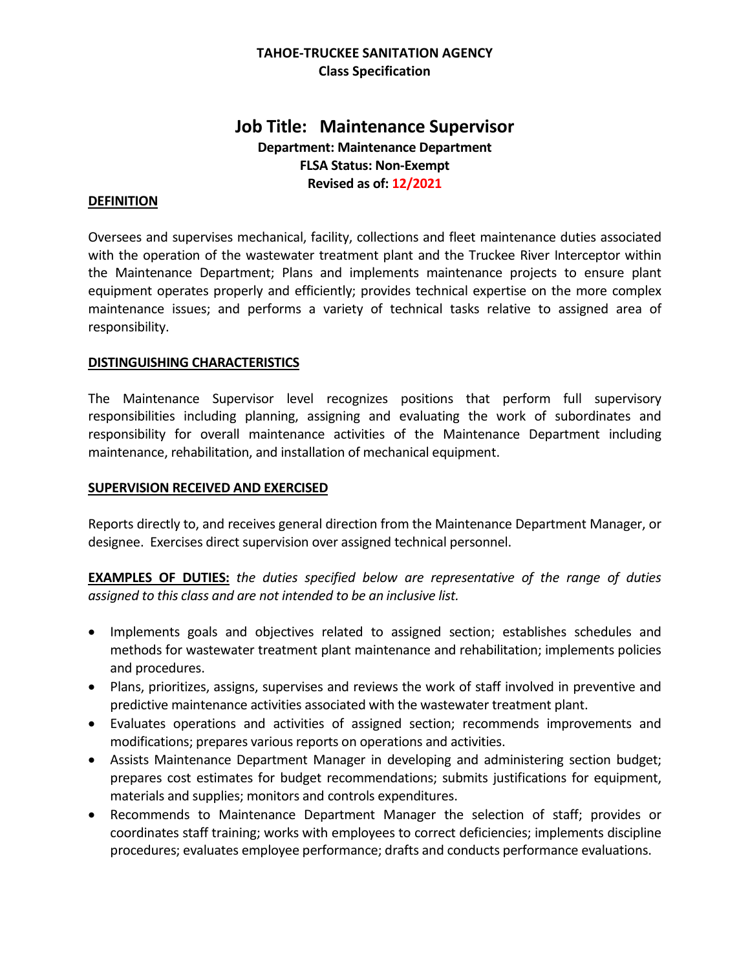# **TAHOE-TRUCKEE SANITATION AGENCY Class Specification**

# **Job Title: Maintenance Supervisor Department: Maintenance Department FLSA Status: Non-Exempt Revised as of: 12/2021**

# **DEFINITION**

Oversees and supervises mechanical, facility, collections and fleet maintenance duties associated with the operation of the wastewater treatment plant and the Truckee River Interceptor within the Maintenance Department; Plans and implements maintenance projects to ensure plant equipment operates properly and efficiently; provides technical expertise on the more complex maintenance issues; and performs a variety of technical tasks relative to assigned area of responsibility.

# **DISTINGUISHING CHARACTERISTICS**

The Maintenance Supervisor level recognizes positions that perform full supervisory responsibilities including planning, assigning and evaluating the work of subordinates and responsibility for overall maintenance activities of the Maintenance Department including maintenance, rehabilitation, and installation of mechanical equipment.

### **SUPERVISION RECEIVED AND EXERCISED**

Reports directly to, and receives general direction from the Maintenance Department Manager, or designee. Exercises direct supervision over assigned technical personnel.

**EXAMPLES OF DUTIES:** *the duties specified below are representative of the range of duties assigned to this class and are not intended to be an inclusive list.*

- Implements goals and objectives related to assigned section; establishes schedules and methods for wastewater treatment plant maintenance and rehabilitation; implements policies and procedures.
- Plans, prioritizes, assigns, supervises and reviews the work of staff involved in preventive and predictive maintenance activities associated with the wastewater treatment plant.
- Evaluates operations and activities of assigned section; recommends improvements and modifications; prepares various reports on operations and activities.
- Assists Maintenance Department Manager in developing and administering section budget; prepares cost estimates for budget recommendations; submits justifications for equipment, materials and supplies; monitors and controls expenditures.
- Recommends to Maintenance Department Manager the selection of staff; provides or coordinates staff training; works with employees to correct deficiencies; implements discipline procedures; evaluates employee performance; drafts and conducts performance evaluations.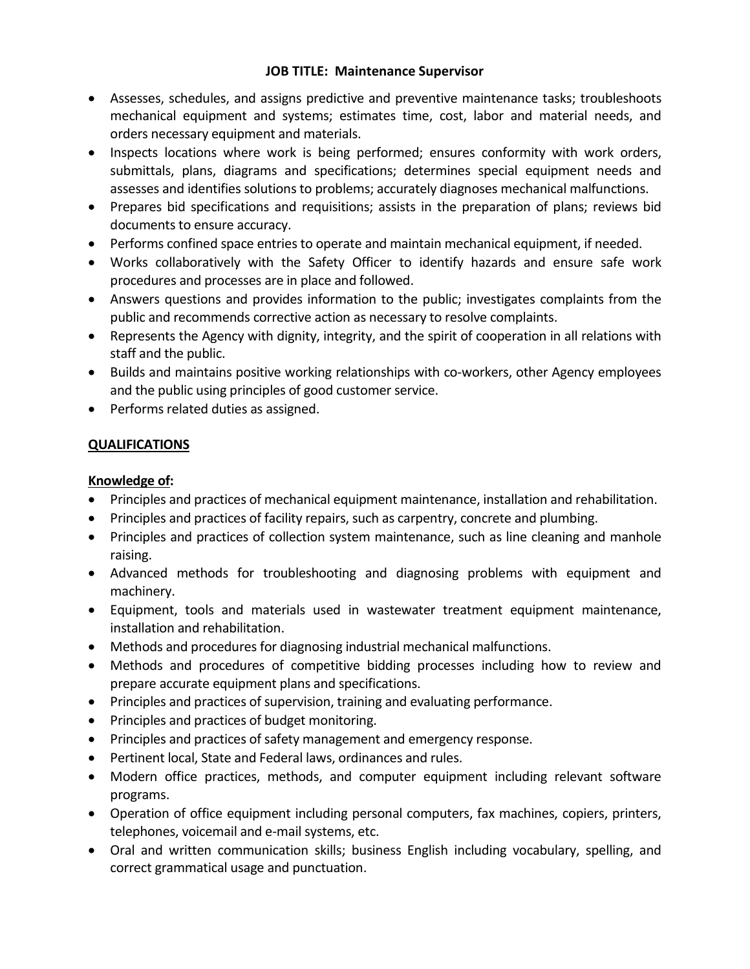- Assesses, schedules, and assigns predictive and preventive maintenance tasks; troubleshoots mechanical equipment and systems; estimates time, cost, labor and material needs, and orders necessary equipment and materials.
- Inspects locations where work is being performed; ensures conformity with work orders, submittals, plans, diagrams and specifications; determines special equipment needs and assesses and identifies solutions to problems; accurately diagnoses mechanical malfunctions.
- Prepares bid specifications and requisitions; assists in the preparation of plans; reviews bid documents to ensure accuracy.
- Performs confined space entries to operate and maintain mechanical equipment, if needed.
- Works collaboratively with the Safety Officer to identify hazards and ensure safe work procedures and processes are in place and followed.
- Answers questions and provides information to the public; investigates complaints from the public and recommends corrective action as necessary to resolve complaints.
- Represents the Agency with dignity, integrity, and the spirit of cooperation in all relations with staff and the public.
- Builds and maintains positive working relationships with co-workers, other Agency employees and the public using principles of good customer service.
- Performs related duties as assigned.

# **QUALIFICATIONS**

# **Knowledge of:**

- Principles and practices of mechanical equipment maintenance, installation and rehabilitation.
- Principles and practices of facility repairs, such as carpentry, concrete and plumbing.
- Principles and practices of collection system maintenance, such as line cleaning and manhole raising.
- Advanced methods for troubleshooting and diagnosing problems with equipment and machinery.
- Equipment, tools and materials used in wastewater treatment equipment maintenance, installation and rehabilitation.
- Methods and procedures for diagnosing industrial mechanical malfunctions.
- Methods and procedures of competitive bidding processes including how to review and prepare accurate equipment plans and specifications.
- Principles and practices of supervision, training and evaluating performance.
- Principles and practices of budget monitoring.
- Principles and practices of safety management and emergency response.
- Pertinent local, State and Federal laws, ordinances and rules.
- Modern office practices, methods, and computer equipment including relevant software programs.
- Operation of office equipment including personal computers, fax machines, copiers, printers, telephones, voicemail and e-mail systems, etc.
- Oral and written communication skills; business English including vocabulary, spelling, and correct grammatical usage and punctuation.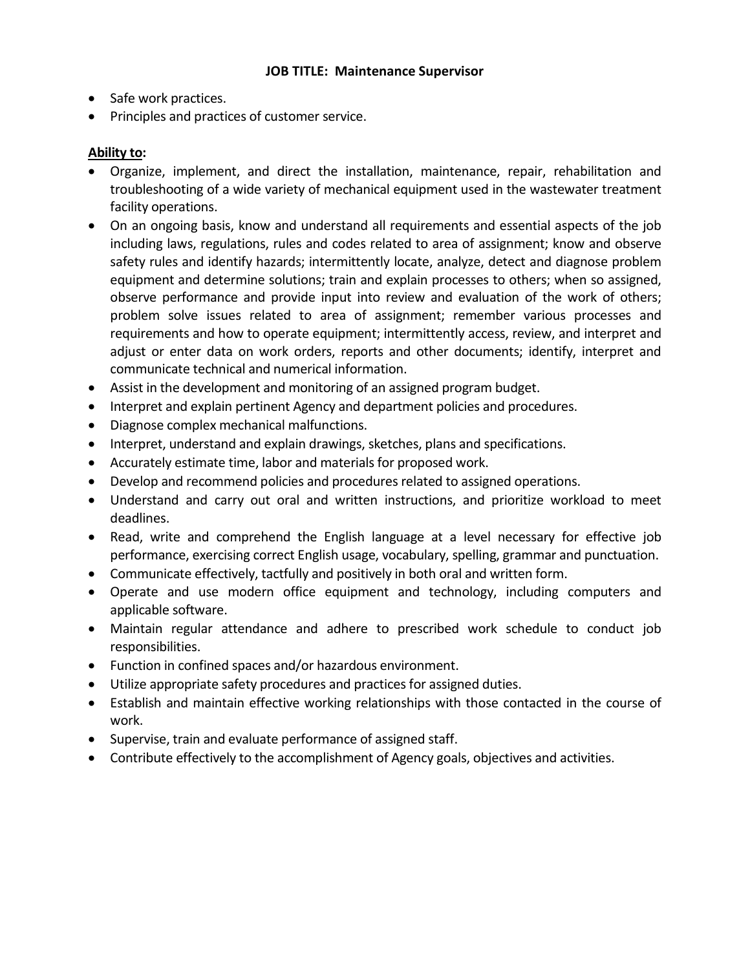- Safe work practices.
- Principles and practices of customer service.

# **Ability to:**

- Organize, implement, and direct the installation, maintenance, repair, rehabilitation and troubleshooting of a wide variety of mechanical equipment used in the wastewater treatment facility operations.
- On an ongoing basis, know and understand all requirements and essential aspects of the job including laws, regulations, rules and codes related to area of assignment; know and observe safety rules and identify hazards; intermittently locate, analyze, detect and diagnose problem equipment and determine solutions; train and explain processes to others; when so assigned, observe performance and provide input into review and evaluation of the work of others; problem solve issues related to area of assignment; remember various processes and requirements and how to operate equipment; intermittently access, review, and interpret and adjust or enter data on work orders, reports and other documents; identify, interpret and communicate technical and numerical information.
- Assist in the development and monitoring of an assigned program budget.
- Interpret and explain pertinent Agency and department policies and procedures.
- Diagnose complex mechanical malfunctions.
- Interpret, understand and explain drawings, sketches, plans and specifications.
- Accurately estimate time, labor and materials for proposed work.
- Develop and recommend policies and procedures related to assigned operations.
- Understand and carry out oral and written instructions, and prioritize workload to meet deadlines.
- Read, write and comprehend the English language at a level necessary for effective job performance, exercising correct English usage, vocabulary, spelling, grammar and punctuation.
- Communicate effectively, tactfully and positively in both oral and written form.
- Operate and use modern office equipment and technology, including computers and applicable software.
- Maintain regular attendance and adhere to prescribed work schedule to conduct job responsibilities.
- Function in confined spaces and/or hazardous environment.
- Utilize appropriate safety procedures and practices for assigned duties.
- Establish and maintain effective working relationships with those contacted in the course of work.
- Supervise, train and evaluate performance of assigned staff.
- Contribute effectively to the accomplishment of Agency goals, objectives and activities.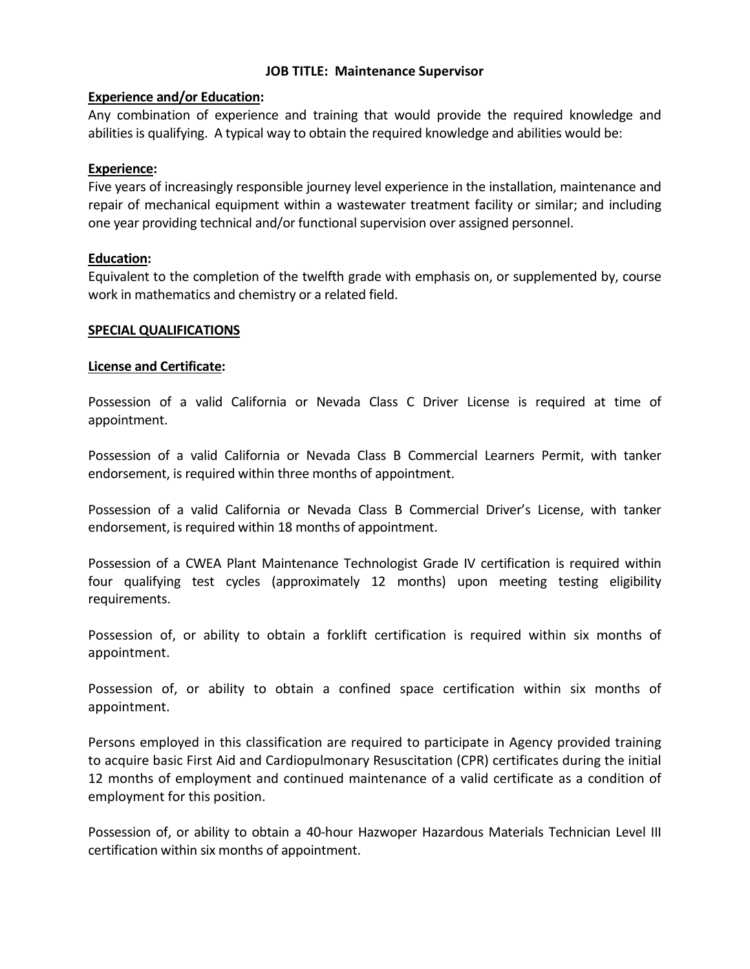# **Experience and/or Education:**

Any combination of experience and training that would provide the required knowledge and abilities is qualifying. A typical way to obtain the required knowledge and abilities would be:

# **Experience:**

Five years of increasingly responsible journey level experience in the installation, maintenance and repair of mechanical equipment within a wastewater treatment facility or similar; and including one year providing technical and/or functional supervision over assigned personnel.

# **Education:**

Equivalent to the completion of the twelfth grade with emphasis on, or supplemented by, course work in mathematics and chemistry or a related field.

#### **SPECIAL QUALIFICATIONS**

# **License and Certificate:**

Possession of a valid California or Nevada Class C Driver License is required at time of appointment.

Possession of a valid California or Nevada Class B Commercial Learners Permit, with tanker endorsement, is required within three months of appointment.

Possession of a valid California or Nevada Class B Commercial Driver's License, with tanker endorsement, is required within 18 months of appointment.

Possession of a CWEA Plant Maintenance Technologist Grade IV certification is required within four qualifying test cycles (approximately 12 months) upon meeting testing eligibility requirements.

Possession of, or ability to obtain a forklift certification is required within six months of appointment.

Possession of, or ability to obtain a confined space certification within six months of appointment.

Persons employed in this classification are required to participate in Agency provided training to acquire basic First Aid and Cardiopulmonary Resuscitation (CPR) certificates during the initial 12 months of employment and continued maintenance of a valid certificate as a condition of employment for this position.

Possession of, or ability to obtain a 40-hour Hazwoper Hazardous Materials Technician Level III certification within six months of appointment.